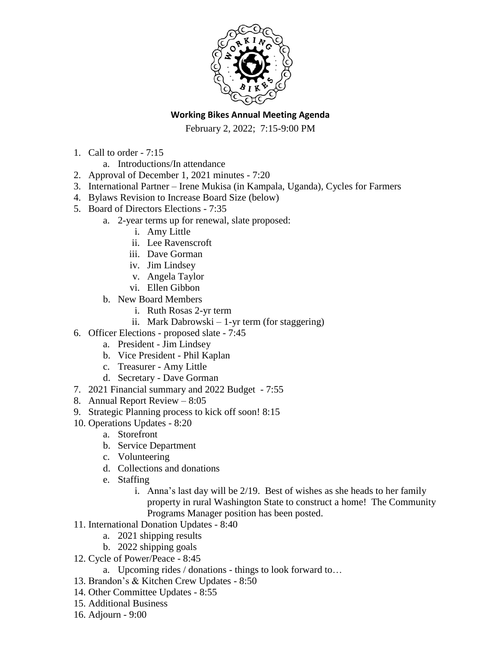

## **Working Bikes Annual Meeting Agenda**

February 2, 2022; 7:15-9:00 PM

- 1. Call to order 7:15
	- a. Introductions/In attendance
- 2. Approval of December 1, 2021 minutes 7:20
- 3. International Partner Irene Mukisa (in Kampala, Uganda), Cycles for Farmers
- 4. Bylaws Revision to Increase Board Size (below)
- 5. Board of Directors Elections 7:35
	- a. 2-year terms up for renewal, slate proposed:
		- i. Amy Little
		- ii. Lee Ravenscroft
		- iii. Dave Gorman
		- iv. Jim Lindsey
		- v. Angela Taylor
		- vi. Ellen Gibbon
	- b. New Board Members
		- i. Ruth Rosas 2-yr term
		- ii. Mark Dabrowski 1-yr term (for staggering)
- 6. Officer Elections proposed slate 7:45
	- a. President Jim Lindsey
	- b. Vice President Phil Kaplan
	- c. Treasurer Amy Little
	- d. Secretary Dave Gorman
- 7. 2021 Financial summary and 2022 Budget 7:55
- 8. Annual Report Review 8:05
- 9. Strategic Planning process to kick off soon! 8:15
- 10. Operations Updates 8:20
	- a. Storefront
	- b. Service Department
	- c. Volunteering
	- d. Collections and donations
	- e. Staffing
		- i. Anna's last day will be 2/19. Best of wishes as she heads to her family property in rural Washington State to construct a home! The Community Programs Manager position has been posted.
- 11. International Donation Updates 8:40
	- a. 2021 shipping results
	- b. 2022 shipping goals
- 12. Cycle of Power/Peace 8:45
	- a. Upcoming rides / donations things to look forward to…
- 13. Brandon's & Kitchen Crew Updates 8:50
- 14. Other Committee Updates 8:55
- 15. Additional Business
- 16. Adjourn 9:00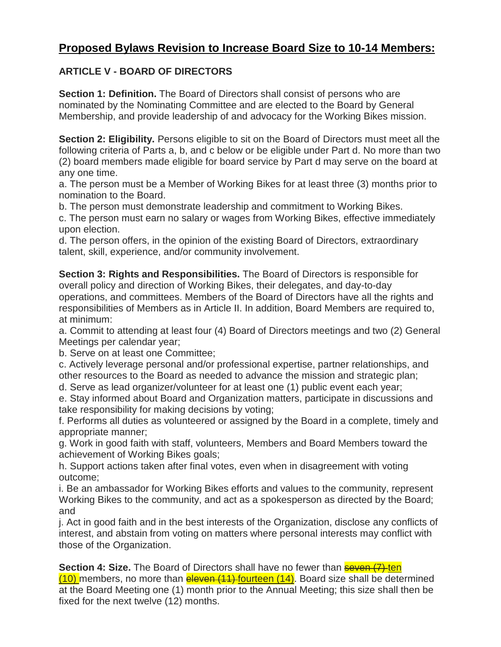## **Proposed Bylaws Revision to Increase Board Size to 10-14 Members:**

## **ARTICLE V - BOARD OF DIRECTORS**

**Section 1: Definition.** The Board of Directors shall consist of persons who are nominated by the Nominating Committee and are elected to the Board by General Membership, and provide leadership of and advocacy for the Working Bikes mission.

**Section 2: Eligibility.** Persons eligible to sit on the Board of Directors must meet all the following criteria of Parts a, b, and c below or be eligible under Part d. No more than two (2) board members made eligible for board service by Part d may serve on the board at any one time.

a. The person must be a Member of Working Bikes for at least three (3) months prior to nomination to the Board.

b. The person must demonstrate leadership and commitment to Working Bikes.

c. The person must earn no salary or wages from Working Bikes, effective immediately upon election.

d. The person offers, in the opinion of the existing Board of Directors, extraordinary talent, skill, experience, and/or community involvement.

**Section 3: Rights and Responsibilities.** The Board of Directors is responsible for overall policy and direction of Working Bikes, their delegates, and day-to-day operations, and committees. Members of the Board of Directors have all the rights and responsibilities of Members as in Article II. In addition, Board Members are required to, at minimum:

a. Commit to attending at least four (4) Board of Directors meetings and two (2) General Meetings per calendar year;

b. Serve on at least one Committee;

c. Actively leverage personal and/or professional expertise, partner relationships, and other resources to the Board as needed to advance the mission and strategic plan;

d. Serve as lead organizer/volunteer for at least one (1) public event each year;

e. Stay informed about Board and Organization matters, participate in discussions and take responsibility for making decisions by voting;

f. Performs all duties as volunteered or assigned by the Board in a complete, timely and appropriate manner;

g. Work in good faith with staff, volunteers, Members and Board Members toward the achievement of Working Bikes goals;

h. Support actions taken after final votes, even when in disagreement with voting outcome;

i. Be an ambassador for Working Bikes efforts and values to the community, represent Working Bikes to the community, and act as a spokesperson as directed by the Board; and

j. Act in good faith and in the best interests of the Organization, disclose any conflicts of interest, and abstain from voting on matters where personal interests may conflict with those of the Organization.

**Section 4: Size.** The Board of Directors shall have no fewer than **seven** (7) ten  $(10)$  members, no more than  $e$ leven  $(11)$ -fourteen  $(14)$ . Board size shall be determined at the Board Meeting one (1) month prior to the Annual Meeting; this size shall then be fixed for the next twelve (12) months.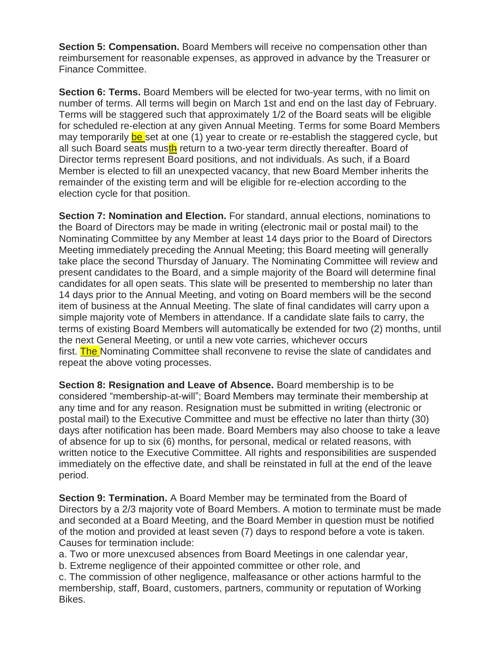**Section 5: Compensation.** Board Members will receive no compensation other than reimbursement for reasonable expenses, as approved in advance by the Treasurer or Finance Committee.

**Section 6: Terms.** Board Members will be elected for two-year terms, with no limit on number of terms. All terms will begin on March 1st and end on the last day of February. Terms will be staggered such that approximately 1/2 of the Board seats will be eligible for scheduled re-election at any given Annual Meeting. Terms for some Board Members may temporarily be set at one (1) year to create or re-establish the staggered cycle, but all such Board seats musth return to a two-year term directly thereafter. Board of Director terms represent Board positions, and not individuals. As such, if a Board Member is elected to fill an unexpected vacancy, that new Board Member inherits the remainder of the existing term and will be eligible for re-election according to the election cycle for that position.

**Section 7: Nomination and Election.** For standard, annual elections, nominations to the Board of Directors may be made in writing (electronic mail or postal mail) to the Nominating Committee by any Member at least 14 days prior to the Board of Directors Meeting immediately preceding the Annual Meeting; this Board meeting will generally take place the second Thursday of January. The Nominating Committee will review and present candidates to the Board, and a simple majority of the Board will determine final candidates for all open seats. This slate will be presented to membership no later than 14 days prior to the Annual Meeting, and voting on Board members will be the second item of business at the Annual Meeting. The slate of final candidates will carry upon a simple majority vote of Members in attendance. If a candidate slate fails to carry, the terms of existing Board Members will automatically be extended for two (2) months, until the next General Meeting, or until a new vote carries, whichever occurs first. The Nominating Committee shall reconvene to revise the slate of candidates and repeat the above voting processes.

**Section 8: Resignation and Leave of Absence.** Board membership is to be considered "membership-at-will"; Board Members may terminate their membership at any time and for any reason. Resignation must be submitted in writing (electronic or postal mail) to the Executive Committee and must be effective no later than thirty (30) days after notification has been made. Board Members may also choose to take a leave of absence for up to six (6) months, for personal, medical or related reasons, with written notice to the Executive Committee. All rights and responsibilities are suspended immediately on the effective date, and shall be reinstated in full at the end of the leave period.

**Section 9: Termination.** A Board Member may be terminated from the Board of Directors by a 2/3 majority vote of Board Members. A motion to terminate must be made and seconded at a Board Meeting, and the Board Member in question must be notified of the motion and provided at least seven (7) days to respond before a vote is taken. Causes for termination include:

a. Two or more unexcused absences from Board Meetings in one calendar year,

b. Extreme negligence of their appointed committee or other role, and

c. The commission of other negligence, malfeasance or other actions harmful to the membership, staff, Board, customers, partners, community or reputation of Working Bikes.